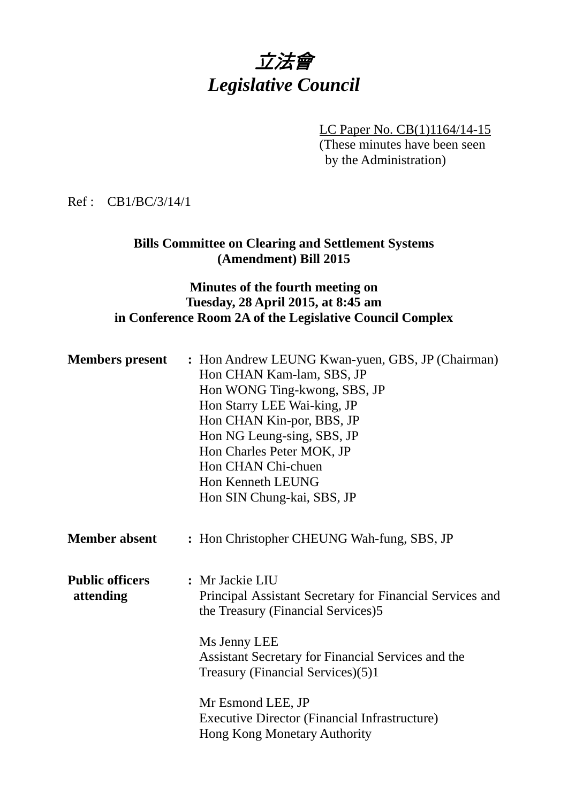# 立法會 *Legislative Council*

LC Paper No. CB(1)1164/14-15

(These minutes have been seen by the Administration)

## Ref : CB1/BC/3/14/1

# **Bills Committee on Clearing and Settlement Systems (Amendment) Bill 2015**

## **Minutes of the fourth meeting on Tuesday, 28 April 2015, at 8:45 am in Conference Room 2A of the Legislative Council Complex**

| <b>Members</b> present              | : Hon Andrew LEUNG Kwan-yuen, GBS, JP (Chairman)<br>Hon CHAN Kam-lam, SBS, JP<br>Hon WONG Ting-kwong, SBS, JP<br>Hon Starry LEE Wai-king, JP<br>Hon CHAN Kin-por, BBS, JP<br>Hon NG Leung-sing, SBS, JP<br>Hon Charles Peter MOK, JP<br>Hon CHAN Chi-chuen<br>Hon Kenneth LEUNG<br>Hon SIN Chung-kai, SBS, JP                             |
|-------------------------------------|-------------------------------------------------------------------------------------------------------------------------------------------------------------------------------------------------------------------------------------------------------------------------------------------------------------------------------------------|
| <b>Member absent</b>                | : Hon Christopher CHEUNG Wah-fung, SBS, JP                                                                                                                                                                                                                                                                                                |
| <b>Public officers</b><br>attending | : Mr Jackie LIU<br>Principal Assistant Secretary for Financial Services and<br>the Treasury (Financial Services)5<br>Ms Jenny LEE<br>Assistant Secretary for Financial Services and the<br>Treasury (Financial Services)(5)1<br>Mr Esmond LEE, JP<br><b>Executive Director (Financial Infrastructure)</b><br>Hong Kong Monetary Authority |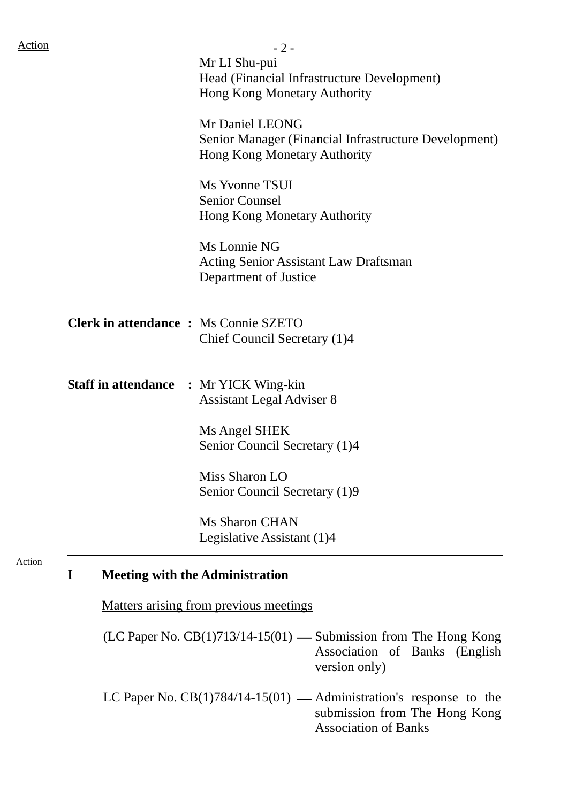| $-2-$                                                                        |
|------------------------------------------------------------------------------|
| Mr LI Shu-pui                                                                |
| Head (Financial Infrastructure Development)                                  |
| Hong Kong Monetary Authority                                                 |
| Mr Daniel LEONG                                                              |
| Senior Manager (Financial Infrastructure Development)                        |
| Hong Kong Monetary Authority                                                 |
| Ms Yvonne TSUI                                                               |
| <b>Senior Counsel</b>                                                        |
| Hong Kong Monetary Authority                                                 |
| Ms Lonnie NG                                                                 |
| <b>Acting Senior Assistant Law Draftsman</b>                                 |
| Department of Justice                                                        |
|                                                                              |
| <b>Clerk in attendance : Ms Connie SZETO</b><br>Chief Council Secretary (1)4 |
|                                                                              |
| <b>Staff in attendance : Mr YICK Wing-kin</b>                                |
| <b>Assistant Legal Adviser 8</b>                                             |
| Ms Angel SHEK                                                                |
| Senior Council Secretary (1)4                                                |
| Miss Sharon LO                                                               |
| Senior Council Secretary (1)9                                                |
| <b>Ms Sharon CHAN</b>                                                        |
| Legislative Assistant (1)4                                                   |

Matters arising from previous meetings

(LC Paper No.  $CB(1)713/14-15(01)$  - Submission from The Hong Kong Association of Banks (English version only)

LC Paper No.  $CB(1)784/14-15(01)$  — Administration's response to the submission from The Hong Kong Association of Banks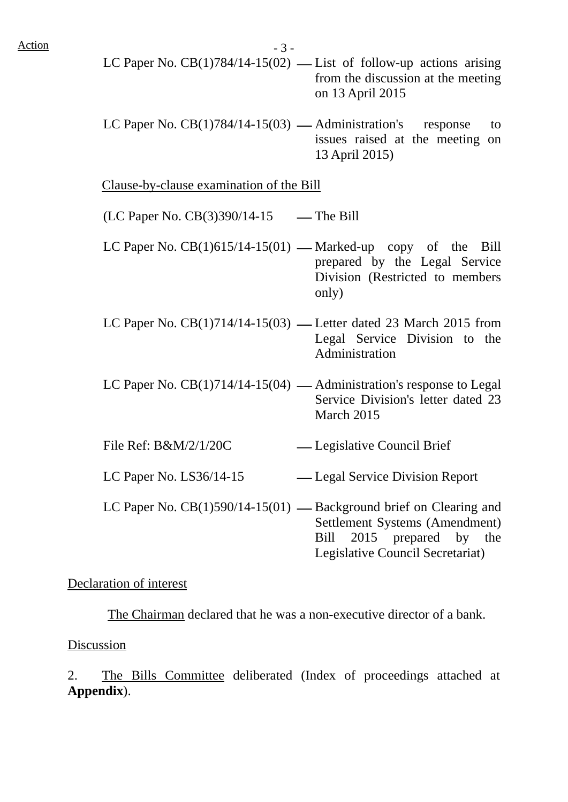$Action$   $-3 -$ 

- LC Paper No.  $CB(1)784/14-15(02)$  List of follow-up actions arising from the discussion at the meeting on 13 April 2015
- LC Paper No.  $CB(1)784/14-15(03)$  Administration's response to issues raised at the meeting on 13 April 2015)

Clause-by-clause examination of the Bill

- $(LC$  Paper No.  $CB(3)390/14-15$  The Bill
- LC Paper No.  $CB(1)615/14-15(01)$  Marked-up copy of the Bill prepared by the Legal Service Division (Restricted to members only)
- LC Paper No.  $CB(1)714/14-15(03)$  Letter dated 23 March 2015 from Legal Service Division to the Administration
- LC Paper No.  $CB(1)714/14-15(04)$  Administration's response to Legal Service Division's letter dated 23 March 2015
- File Ref: B&M/2/1/20C Legislative Council Brief
- LC Paper No. LS36/14-15 ⎯ Legal Service Division Report
- LC Paper No.  $CB(1)590/14-15(01)$  Background brief on Clearing and Settlement Systems (Amendment) Bill 2015 prepared by the Legislative Council Secretariat)

#### Declaration of interest

The Chairman declared that he was a non-executive director of a bank.

#### Discussion

2. The Bills Committee deliberated (Index of proceedings attached at **Appendix**).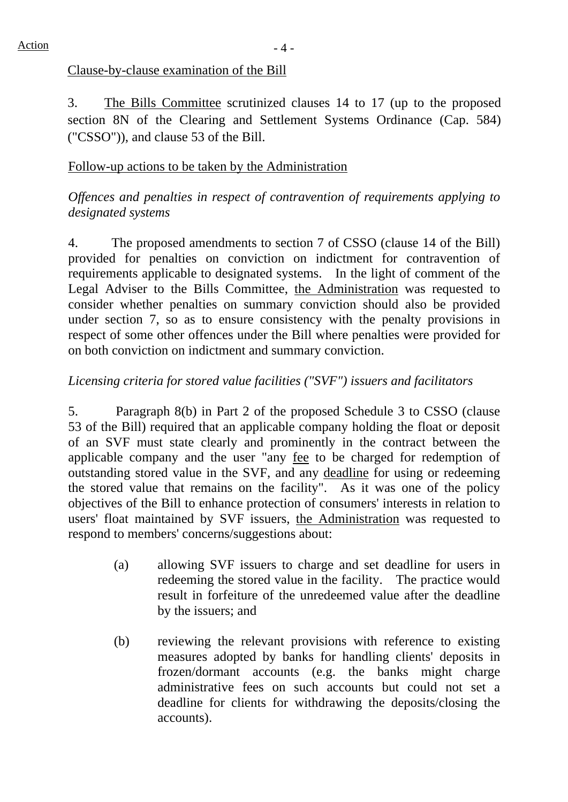## Clause-by-clause examination of the Bill

3. The Bills Committee scrutinized clauses 14 to 17 (up to the proposed section 8N of the Clearing and Settlement Systems Ordinance (Cap. 584) ("CSSO")), and clause 53 of the Bill.

# Follow-up actions to be taken by the Administration

# *Offences and penalties in respect of contravention of requirements applying to designated systems*

4. The proposed amendments to section 7 of CSSO (clause 14 of the Bill) provided for penalties on conviction on indictment for contravention of requirements applicable to designated systems. In the light of comment of the Legal Adviser to the Bills Committee, the Administration was requested to consider whether penalties on summary conviction should also be provided under section 7, so as to ensure consistency with the penalty provisions in respect of some other offences under the Bill where penalties were provided for on both conviction on indictment and summary conviction.

# *Licensing criteria for stored value facilities ("SVF") issuers and facilitators*

5. Paragraph 8(b) in Part 2 of the proposed Schedule 3 to CSSO (clause 53 of the Bill) required that an applicable company holding the float or deposit of an SVF must state clearly and prominently in the contract between the applicable company and the user "any fee to be charged for redemption of outstanding stored value in the SVF, and any deadline for using or redeeming the stored value that remains on the facility". As it was one of the policy objectives of the Bill to enhance protection of consumers' interests in relation to users' float maintained by SVF issuers, the Administration was requested to respond to members' concerns/suggestions about:

- (a) allowing SVF issuers to charge and set deadline for users in redeeming the stored value in the facility. The practice would result in forfeiture of the unredeemed value after the deadline by the issuers; and
- (b) reviewing the relevant provisions with reference to existing measures adopted by banks for handling clients' deposits in frozen/dormant accounts (e.g. the banks might charge administrative fees on such accounts but could not set a deadline for clients for withdrawing the deposits/closing the accounts).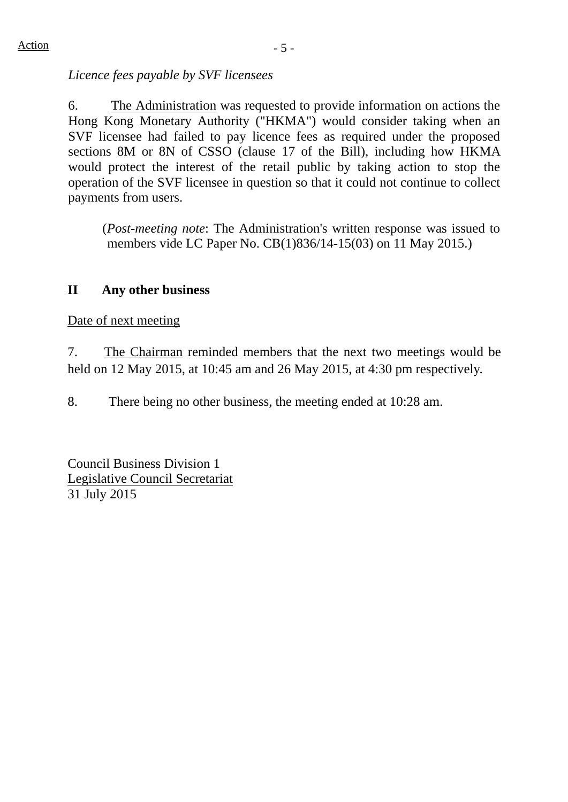*Licence fees payable by SVF licensees* 

6. The Administration was requested to provide information on actions the Hong Kong Monetary Authority ("HKMA") would consider taking when an SVF licensee had failed to pay licence fees as required under the proposed sections 8M or 8N of CSSO (clause 17 of the Bill), including how HKMA would protect the interest of the retail public by taking action to stop the operation of the SVF licensee in question so that it could not continue to collect payments from users.

(*Post-meeting note*: The Administration's written response was issued to members vide LC Paper No. CB(1)836/14-15(03) on 11 May 2015.)

## **II Any other business**

Date of next meeting

7. The Chairman reminded members that the next two meetings would be held on 12 May 2015, at 10:45 am and 26 May 2015, at 4:30 pm respectively.

8. There being no other business, the meeting ended at 10:28 am.

Council Business Division 1 Legislative Council Secretariat 31 July 2015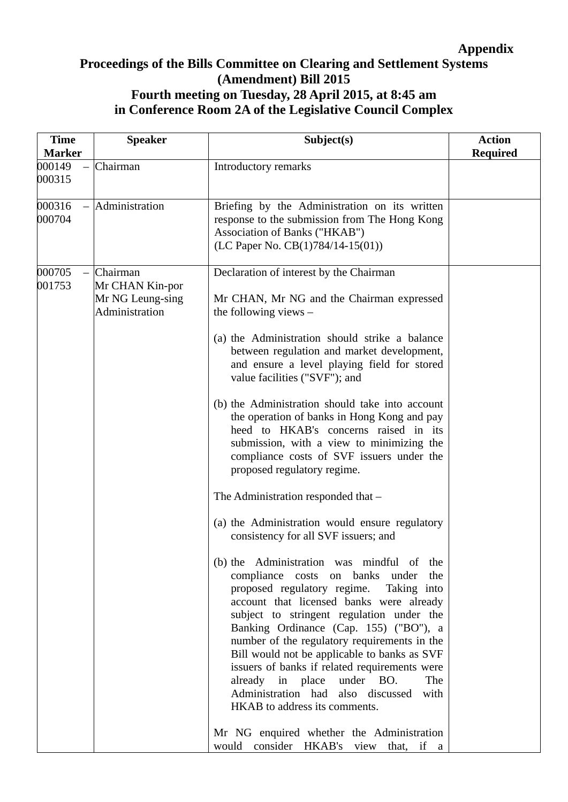# **Appendix**

# **Proceedings of the Bills Committee on Clearing and Settlement Systems (Amendment) Bill 2015 Fourth meeting on Tuesday, 28 April 2015, at 8:45 am in Conference Room 2A of the Legislative Council Complex**

| <b>Time</b>             | <b>Speaker</b>                                                    | Subject(s)                                                                                                                                                                                                                                                                                                                                                                                                                                                                                                                               | <b>Action</b>   |
|-------------------------|-------------------------------------------------------------------|------------------------------------------------------------------------------------------------------------------------------------------------------------------------------------------------------------------------------------------------------------------------------------------------------------------------------------------------------------------------------------------------------------------------------------------------------------------------------------------------------------------------------------------|-----------------|
| <b>Marker</b><br>000149 | Chairman                                                          | Introductory remarks                                                                                                                                                                                                                                                                                                                                                                                                                                                                                                                     | <b>Required</b> |
| 000315                  |                                                                   |                                                                                                                                                                                                                                                                                                                                                                                                                                                                                                                                          |                 |
| 000316<br>000704        | Administration                                                    | Briefing by the Administration on its written<br>response to the submission from The Hong Kong<br>Association of Banks ("HKAB")<br>(LC Paper No. CB(1)784/14-15(01))                                                                                                                                                                                                                                                                                                                                                                     |                 |
| 000705<br>001753        | Chairman<br>Mr CHAN Kin-por<br>Mr NG Leung-sing<br>Administration | Declaration of interest by the Chairman<br>Mr CHAN, Mr NG and the Chairman expressed<br>the following views $-$                                                                                                                                                                                                                                                                                                                                                                                                                          |                 |
|                         |                                                                   | (a) the Administration should strike a balance<br>between regulation and market development,<br>and ensure a level playing field for stored<br>value facilities ("SVF"); and                                                                                                                                                                                                                                                                                                                                                             |                 |
|                         |                                                                   | (b) the Administration should take into account<br>the operation of banks in Hong Kong and pay<br>heed to HKAB's concerns raised in its<br>submission, with a view to minimizing the<br>compliance costs of SVF issuers under the<br>proposed regulatory regime.                                                                                                                                                                                                                                                                         |                 |
|                         |                                                                   | The Administration responded that -                                                                                                                                                                                                                                                                                                                                                                                                                                                                                                      |                 |
|                         |                                                                   | (a) the Administration would ensure regulatory<br>consistency for all SVF issuers; and                                                                                                                                                                                                                                                                                                                                                                                                                                                   |                 |
|                         |                                                                   | (b) the Administration was mindful of the<br>compliance costs on banks under<br>the<br>proposed regulatory regime.<br>Taking into<br>account that licensed banks were already<br>subject to stringent regulation under the<br>Banking Ordinance (Cap. 155) ("BO"), a<br>number of the regulatory requirements in the<br>Bill would not be applicable to banks as SVF<br>issuers of banks if related requirements were<br>already in place under BO.<br>The<br>Administration had also discussed<br>with<br>HKAB to address its comments. |                 |
|                         |                                                                   | Mr NG enquired whether the Administration<br>would consider HKAB's view that, if a                                                                                                                                                                                                                                                                                                                                                                                                                                                       |                 |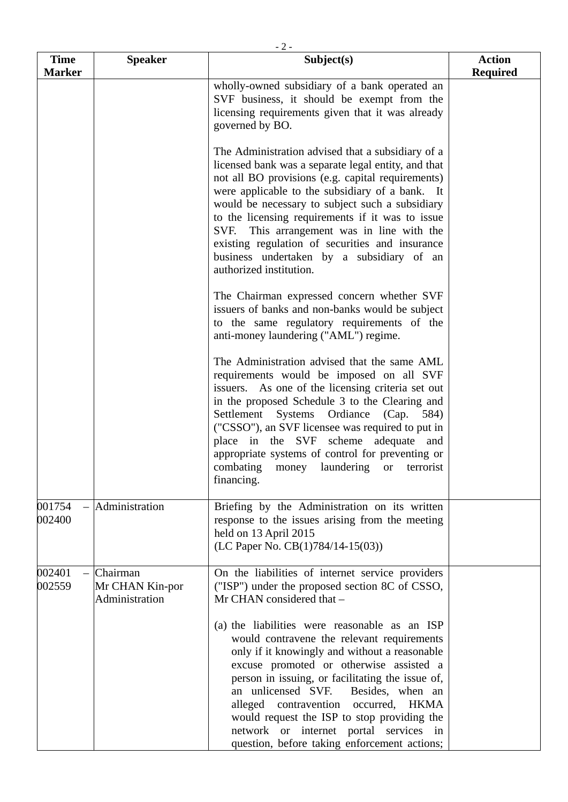| <b>Time</b><br><b>Marker</b> | <b>Speaker</b>                                | Subject(s)                                                                                                                                                                                                                                                                                                                                                                                                                                                                                       | <b>Action</b><br><b>Required</b> |
|------------------------------|-----------------------------------------------|--------------------------------------------------------------------------------------------------------------------------------------------------------------------------------------------------------------------------------------------------------------------------------------------------------------------------------------------------------------------------------------------------------------------------------------------------------------------------------------------------|----------------------------------|
|                              |                                               | wholly-owned subsidiary of a bank operated an<br>SVF business, it should be exempt from the<br>licensing requirements given that it was already<br>governed by BO.                                                                                                                                                                                                                                                                                                                               |                                  |
|                              |                                               | The Administration advised that a subsidiary of a<br>licensed bank was a separate legal entity, and that<br>not all BO provisions (e.g. capital requirements)<br>were applicable to the subsidiary of a bank. It<br>would be necessary to subject such a subsidiary<br>to the licensing requirements if it was to issue<br>SVF. This arrangement was in line with the<br>existing regulation of securities and insurance<br>business undertaken by a subsidiary of an<br>authorized institution. |                                  |
|                              |                                               | The Chairman expressed concern whether SVF<br>issuers of banks and non-banks would be subject<br>to the same regulatory requirements of the<br>anti-money laundering ("AML") regime.                                                                                                                                                                                                                                                                                                             |                                  |
|                              |                                               | The Administration advised that the same AML<br>requirements would be imposed on all SVF<br>issuers. As one of the licensing criteria set out<br>in the proposed Schedule 3 to the Clearing and<br>Systems Ordiance (Cap. 584)<br>Settlement<br>("CSSO"), an SVF licensee was required to put in<br>place in the SVF scheme<br>adequate and<br>appropriate systems of control for preventing or<br>combating money laundering or terrorist<br>financing.                                         |                                  |
| 001754<br>002400             | Administration                                | Briefing by the Administration on its written<br>response to the issues arising from the meeting<br>held on 13 April 2015<br>(LC Paper No. $CB(1)784/14-15(03)$ )                                                                                                                                                                                                                                                                                                                                |                                  |
| 002401<br>002559             | Chairman<br>Mr CHAN Kin-por<br>Administration | On the liabilities of internet service providers<br>("ISP") under the proposed section 8C of CSSO,<br>Mr CHAN considered that -<br>(a) the liabilities were reasonable as an ISP<br>would contravene the relevant requirements<br>only if it knowingly and without a reasonable                                                                                                                                                                                                                  |                                  |
|                              |                                               | excuse promoted or otherwise assisted a<br>person in issuing, or facilitating the issue of,<br>an unlicensed SVF.<br>Besides, when an<br>alleged contravention occurred, HKMA<br>would request the ISP to stop providing the<br>network or internet portal services in<br>question, before taking enforcement actions;                                                                                                                                                                           |                                  |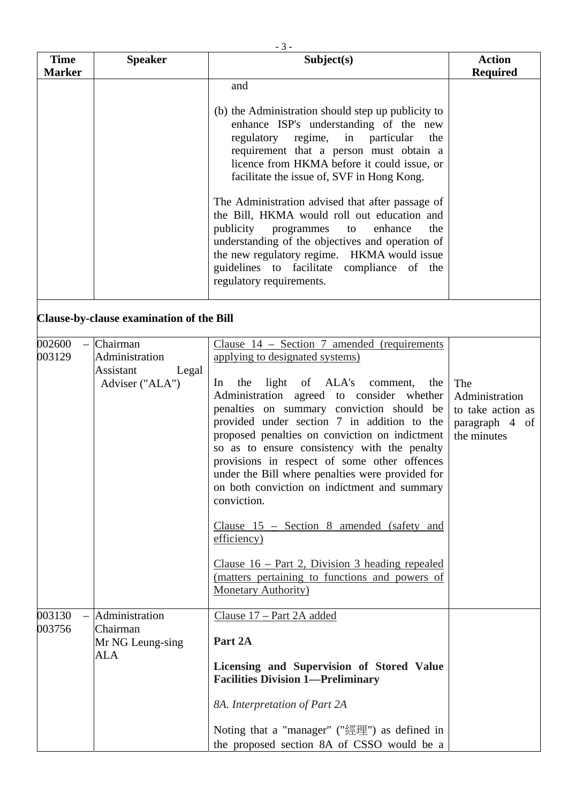| <b>Time</b>      | <b>Speaker</b>                                                      | Subject(s)                                                                                                                                                                                                                                                                                                                                                                                                                                                                                                                                                                                                                                                                                                                                      | <b>Action</b>                                                               |
|------------------|---------------------------------------------------------------------|-------------------------------------------------------------------------------------------------------------------------------------------------------------------------------------------------------------------------------------------------------------------------------------------------------------------------------------------------------------------------------------------------------------------------------------------------------------------------------------------------------------------------------------------------------------------------------------------------------------------------------------------------------------------------------------------------------------------------------------------------|-----------------------------------------------------------------------------|
| <b>Marker</b>    |                                                                     | and<br>(b) the Administration should step up publicity to<br>enhance ISP's understanding of the new<br>regulatory regime, in<br>particular<br>the<br>requirement that a person must obtain a<br>licence from HKMA before it could issue, or<br>facilitate the issue of, SVF in Hong Kong.<br>The Administration advised that after passage of<br>the Bill, HKMA would roll out education and<br>publicity<br>programmes<br>enhance<br>the<br>to<br>understanding of the objectives and operation of<br>the new regulatory regime. HKMA would issue<br>guidelines to facilitate compliance of the<br>regulatory requirements.                                                                                                                    | <b>Required</b>                                                             |
|                  | Clause-by-clause examination of the Bill                            |                                                                                                                                                                                                                                                                                                                                                                                                                                                                                                                                                                                                                                                                                                                                                 |                                                                             |
| 002600<br>003129 | Chairman<br>Administration<br>Assistant<br>Legal<br>Adviser ("ALA") | Clause $14$ – Section 7 amended (requirements<br>applying to designated systems)<br>light of ALA's<br>the<br>comment,<br>the<br>$\ln$<br>Administration agreed to consider whether<br>penalties on summary conviction should be<br>provided under section 7 in addition to the<br>proposed penalties on conviction on indictment<br>so as to ensure consistency with the penalty<br>provisions in respect of some other offences<br>under the Bill where penalties were provided for<br>on both conviction on indictment and summary<br>conviction.<br>Clause $15$ – Section 8 amended (safety and<br>efficiency)<br>Clause $16$ – Part 2, Division 3 heading repealed<br>(matters pertaining to functions and powers of<br>Monetary Authority) | The<br>Administration<br>to take action as<br>paragraph 4 of<br>the minutes |
| 003130<br>003756 | Administration<br>Chairman<br>Mr NG Leung-sing<br><b>ALA</b>        | Clause 17 – Part 2A added<br>Part 2A<br>Licensing and Supervision of Stored Value<br><b>Facilities Division 1-Preliminary</b><br>8A. Interpretation of Part 2A<br>Noting that a "manager" ("經理") as defined in                                                                                                                                                                                                                                                                                                                                                                                                                                                                                                                                  |                                                                             |

the proposed section 8A of CSSO would be a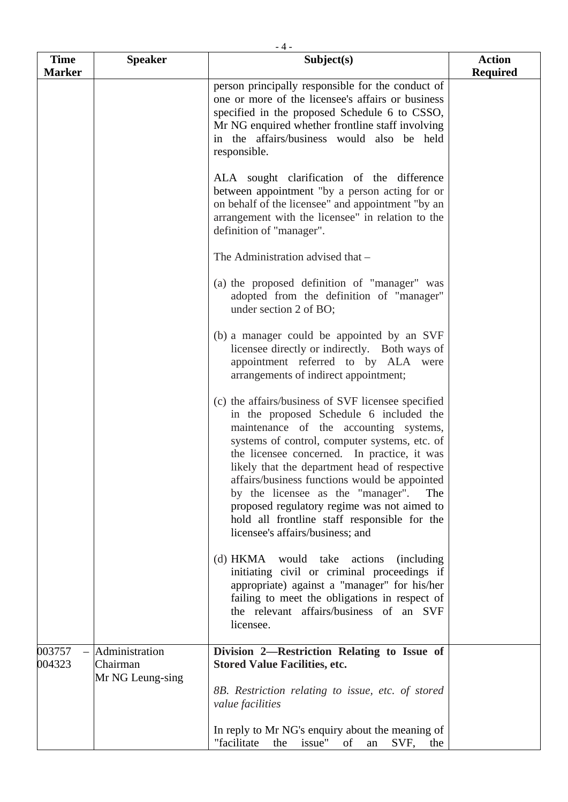| <b>Time</b>      | <b>Speaker</b>                                 | $-4-$<br>Subject(s)                                                                                                                                                                                                                                                                                                                                                                                                                                                                                                      | <b>Action</b>   |
|------------------|------------------------------------------------|--------------------------------------------------------------------------------------------------------------------------------------------------------------------------------------------------------------------------------------------------------------------------------------------------------------------------------------------------------------------------------------------------------------------------------------------------------------------------------------------------------------------------|-----------------|
| <b>Marker</b>    |                                                | person principally responsible for the conduct of<br>one or more of the licensee's affairs or business<br>specified in the proposed Schedule 6 to CSSO,<br>Mr NG enquired whether frontline staff involving<br>in the affairs/business would also be held<br>responsible.                                                                                                                                                                                                                                                | <b>Required</b> |
|                  |                                                | ALA sought clarification of the difference<br>between appointment "by a person acting for or<br>on behalf of the licensee" and appointment "by an<br>arrangement with the licensee" in relation to the<br>definition of "manager".                                                                                                                                                                                                                                                                                       |                 |
|                  |                                                | The Administration advised that -                                                                                                                                                                                                                                                                                                                                                                                                                                                                                        |                 |
|                  |                                                | (a) the proposed definition of "manager" was<br>adopted from the definition of "manager"<br>under section 2 of BO;                                                                                                                                                                                                                                                                                                                                                                                                       |                 |
|                  |                                                | (b) a manager could be appointed by an SVF<br>licensee directly or indirectly. Both ways of<br>appointment referred to by ALA were<br>arrangements of indirect appointment;                                                                                                                                                                                                                                                                                                                                              |                 |
|                  |                                                | (c) the affairs/business of SVF licensee specified<br>in the proposed Schedule 6 included the<br>maintenance of the accounting systems,<br>systems of control, computer systems, etc. of<br>the licensee concerned. In practice, it was<br>likely that the department head of respective<br>affairs/business functions would be appointed<br>by the licensee as the "manager".<br>The<br>proposed regulatory regime was not aimed to<br>hold all frontline staff responsible for the<br>licensee's affairs/business; and |                 |
|                  |                                                | (d) HKMA would take actions<br><i>(including)</i><br>initiating civil or criminal proceedings if<br>appropriate) against a "manager" for his/her<br>failing to meet the obligations in respect of<br>the relevant affairs/business of an SVF<br>licensee.                                                                                                                                                                                                                                                                |                 |
| 003757<br>004323 | Administration<br>Chairman<br>Mr NG Leung-sing | Division 2—Restriction Relating to Issue of<br><b>Stored Value Facilities, etc.</b>                                                                                                                                                                                                                                                                                                                                                                                                                                      |                 |
|                  |                                                | 8B. Restriction relating to issue, etc. of stored<br>value facilities                                                                                                                                                                                                                                                                                                                                                                                                                                                    |                 |
|                  |                                                | In reply to Mr NG's enquiry about the meaning of<br>issue"<br>"facilitate<br>the<br>of<br>SVF,<br>an<br>the                                                                                                                                                                                                                                                                                                                                                                                                              |                 |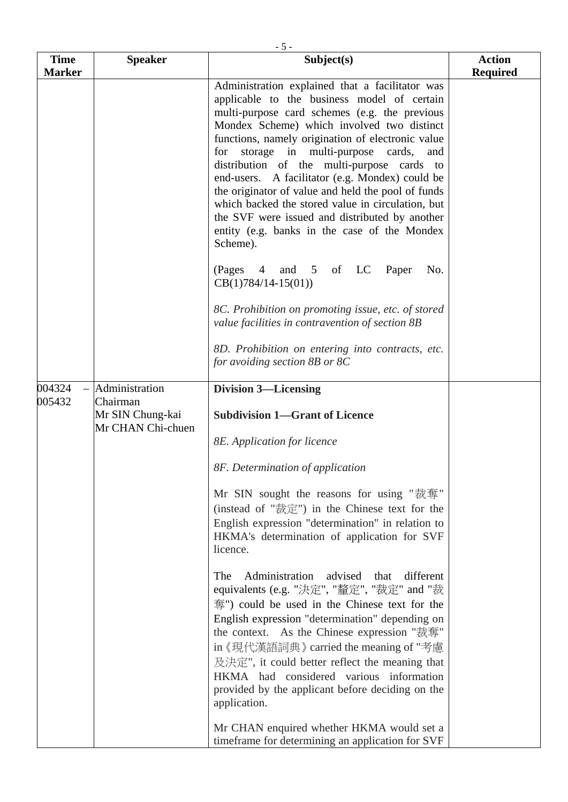| <b>Time</b>   | <b>Speaker</b>                                    | $-5-$<br>Subject(s)                                                                                                                                                                                                                                                                                                                                                                                                                                                                                                                                                                                                        | <b>Action</b>   |
|---------------|---------------------------------------------------|----------------------------------------------------------------------------------------------------------------------------------------------------------------------------------------------------------------------------------------------------------------------------------------------------------------------------------------------------------------------------------------------------------------------------------------------------------------------------------------------------------------------------------------------------------------------------------------------------------------------------|-----------------|
| <b>Marker</b> |                                                   |                                                                                                                                                                                                                                                                                                                                                                                                                                                                                                                                                                                                                            | <b>Required</b> |
|               |                                                   | Administration explained that a facilitator was<br>applicable to the business model of certain<br>multi-purpose card schemes (e.g. the previous<br>Mondex Scheme) which involved two distinct<br>functions, namely origination of electronic value<br>for storage in multi-purpose cards,<br>and<br>distribution of the multi-purpose cards to<br>end-users. A facilitator (e.g. Mondex) could be<br>the originator of value and held the pool of funds<br>which backed the stored value in circulation, but<br>the SVF were issued and distributed by another<br>entity (e.g. banks in the case of the Mondex<br>Scheme). |                 |
|               |                                                   | $(Pages \t 4$<br>and 5 of LC Paper<br>No.<br>$CB(1)784/14-15(01))$                                                                                                                                                                                                                                                                                                                                                                                                                                                                                                                                                         |                 |
|               |                                                   | 8C. Prohibition on promoting issue, etc. of stored<br>value facilities in contravention of section 8B                                                                                                                                                                                                                                                                                                                                                                                                                                                                                                                      |                 |
|               |                                                   | 8D. Prohibition on entering into contracts, etc.<br>for avoiding section 8B or 8C                                                                                                                                                                                                                                                                                                                                                                                                                                                                                                                                          |                 |
| 004324        | Administration                                    | <b>Division 3-Licensing</b>                                                                                                                                                                                                                                                                                                                                                                                                                                                                                                                                                                                                |                 |
| 005432        | Chairman<br>Mr SIN Chung-kai<br>Mr CHAN Chi-chuen | <b>Subdivision 1-Grant of Licence</b>                                                                                                                                                                                                                                                                                                                                                                                                                                                                                                                                                                                      |                 |
|               |                                                   | 8E. Application for licence                                                                                                                                                                                                                                                                                                                                                                                                                                                                                                                                                                                                |                 |
|               |                                                   | 8F. Determination of application                                                                                                                                                                                                                                                                                                                                                                                                                                                                                                                                                                                           |                 |
|               |                                                   | Mr SIN sought the reasons for using "裁奪"<br>(instead of "裁定") in the Chinese text for the<br>English expression "determination" in relation to<br>HKMA's determination of application for SVF<br>licence.                                                                                                                                                                                                                                                                                                                                                                                                                  |                 |
|               |                                                   | Administration advised<br>different<br>The<br>that<br>equivalents (e.g. "決定", "釐定", "裁定" and "裁<br>奪") could be used in the Chinese text for the<br>English expression "determination" depending on<br>the context. As the Chinese expression "裁奪"<br>in 《現代漢語詞典》 carried the meaning of "考慮<br>及決定", it could better reflect the meaning that<br>HKMA had considered various information<br>provided by the applicant before deciding on the<br>application.                                                                                                                                                              |                 |
|               |                                                   | Mr CHAN enquired whether HKMA would set a<br>timeframe for determining an application for SVF                                                                                                                                                                                                                                                                                                                                                                                                                                                                                                                              |                 |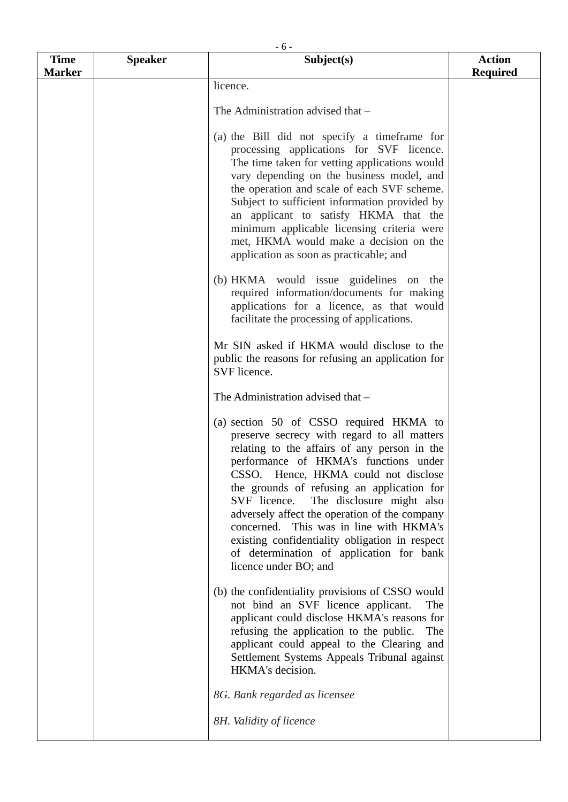|                              |                | $-6-$                                                                                                                                                                                                                                                                                                                                                                                                                                                                                                                                 |                                  |
|------------------------------|----------------|---------------------------------------------------------------------------------------------------------------------------------------------------------------------------------------------------------------------------------------------------------------------------------------------------------------------------------------------------------------------------------------------------------------------------------------------------------------------------------------------------------------------------------------|----------------------------------|
| <b>Time</b><br><b>Marker</b> | <b>Speaker</b> | Subject(s)                                                                                                                                                                                                                                                                                                                                                                                                                                                                                                                            | <b>Action</b><br><b>Required</b> |
|                              |                | licence.                                                                                                                                                                                                                                                                                                                                                                                                                                                                                                                              |                                  |
|                              |                |                                                                                                                                                                                                                                                                                                                                                                                                                                                                                                                                       |                                  |
|                              |                | The Administration advised that -                                                                                                                                                                                                                                                                                                                                                                                                                                                                                                     |                                  |
|                              |                | (a) the Bill did not specify a timeframe for<br>processing applications for SVF licence.<br>The time taken for vetting applications would<br>vary depending on the business model, and<br>the operation and scale of each SVF scheme.<br>Subject to sufficient information provided by<br>an applicant to satisfy HKMA that the<br>minimum applicable licensing criteria were<br>met, HKMA would make a decision on the<br>application as soon as practicable; and                                                                    |                                  |
|                              |                | (b) HKMA would issue guidelines on the<br>required information/documents for making<br>applications for a licence, as that would<br>facilitate the processing of applications.                                                                                                                                                                                                                                                                                                                                                        |                                  |
|                              |                | Mr SIN asked if HKMA would disclose to the<br>public the reasons for refusing an application for<br>SVF licence.                                                                                                                                                                                                                                                                                                                                                                                                                      |                                  |
|                              |                | The Administration advised that -                                                                                                                                                                                                                                                                                                                                                                                                                                                                                                     |                                  |
|                              |                | (a) section 50 of CSSO required HKMA to<br>preserve secrecy with regard to all matters<br>relating to the affairs of any person in the<br>performance of HKMA's functions under<br>CSSO. Hence, HKMA could not disclose<br>the grounds of refusing an application for<br>SVF licence.<br>The disclosure might also<br>adversely affect the operation of the company<br>concerned. This was in line with HKMA's<br>existing confidentiality obligation in respect<br>of determination of application for bank<br>licence under BO; and |                                  |
|                              |                | (b) the confidentiality provisions of CSSO would<br>not bind an SVF licence applicant.<br>The<br>applicant could disclose HKMA's reasons for<br>refusing the application to the public.<br>The<br>applicant could appeal to the Clearing and<br>Settlement Systems Appeals Tribunal against<br>HKMA's decision.                                                                                                                                                                                                                       |                                  |
|                              |                | 8G. Bank regarded as licensee<br>8H. Validity of licence                                                                                                                                                                                                                                                                                                                                                                                                                                                                              |                                  |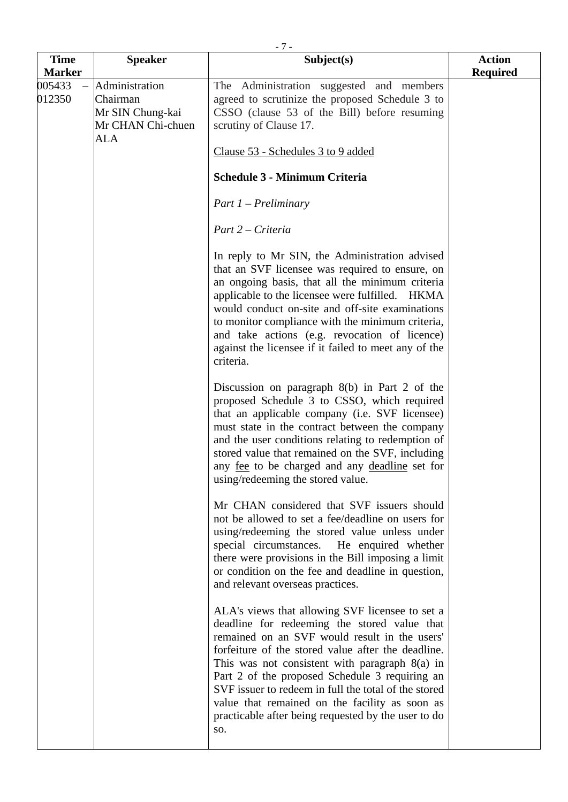| <b>Time</b>      | <b>Speaker</b>                                                                    | $-7-$<br>Subject(s)                                                                                                                                                                                                                                                                                                                                                                                                                                                                  | <b>Action</b>   |
|------------------|-----------------------------------------------------------------------------------|--------------------------------------------------------------------------------------------------------------------------------------------------------------------------------------------------------------------------------------------------------------------------------------------------------------------------------------------------------------------------------------------------------------------------------------------------------------------------------------|-----------------|
| <b>Marker</b>    |                                                                                   |                                                                                                                                                                                                                                                                                                                                                                                                                                                                                      | <b>Required</b> |
| 005433<br>012350 | Administration<br>Chairman<br>Mr SIN Chung-kai<br>Mr CHAN Chi-chuen<br><b>ALA</b> | The Administration suggested and members<br>agreed to scrutinize the proposed Schedule 3 to<br>CSSO (clause 53 of the Bill) before resuming<br>scrutiny of Clause 17.<br>Clause 53 - Schedules 3 to 9 added                                                                                                                                                                                                                                                                          |                 |
|                  |                                                                                   | <b>Schedule 3 - Minimum Criteria</b>                                                                                                                                                                                                                                                                                                                                                                                                                                                 |                 |
|                  |                                                                                   | $Part 1 - Preliminary$                                                                                                                                                                                                                                                                                                                                                                                                                                                               |                 |
|                  |                                                                                   | Part 2 – Criteria                                                                                                                                                                                                                                                                                                                                                                                                                                                                    |                 |
|                  |                                                                                   | In reply to Mr SIN, the Administration advised<br>that an SVF licensee was required to ensure, on<br>an ongoing basis, that all the minimum criteria<br>applicable to the licensee were fulfilled. HKMA<br>would conduct on-site and off-site examinations<br>to monitor compliance with the minimum criteria,<br>and take actions (e.g. revocation of licence)<br>against the licensee if it failed to meet any of the<br>criteria.                                                 |                 |
|                  |                                                                                   | Discussion on paragraph $8(b)$ in Part 2 of the<br>proposed Schedule 3 to CSSO, which required<br>that an applicable company (i.e. SVF licensee)<br>must state in the contract between the company<br>and the user conditions relating to redemption of<br>stored value that remained on the SVF, including<br>any <u>fee</u> to be charged and any <u>deadline</u> set for<br>using/redeeming the stored value.                                                                     |                 |
|                  |                                                                                   | Mr CHAN considered that SVF issuers should<br>not be allowed to set a fee/deadline on users for<br>using/redeeming the stored value unless under<br>special circumstances. He enquired whether<br>there were provisions in the Bill imposing a limit<br>or condition on the fee and deadline in question,<br>and relevant overseas practices.                                                                                                                                        |                 |
|                  |                                                                                   | ALA's views that allowing SVF licensee to set a<br>deadline for redeeming the stored value that<br>remained on an SVF would result in the users'<br>forfeiture of the stored value after the deadline.<br>This was not consistent with paragraph $8(a)$ in<br>Part 2 of the proposed Schedule 3 requiring an<br>SVF issuer to redeem in full the total of the stored<br>value that remained on the facility as soon as<br>practicable after being requested by the user to do<br>SO. |                 |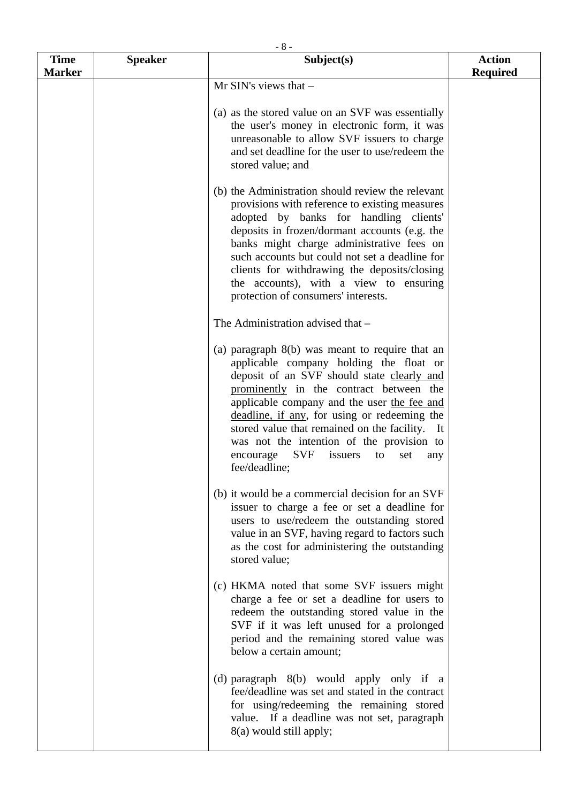| <b>Time</b>   | <b>Speaker</b> | $-8-$<br>Subject(s)                                                                                                                                                                                                                                                                                                                                                                                                                                               | <b>Action</b>   |
|---------------|----------------|-------------------------------------------------------------------------------------------------------------------------------------------------------------------------------------------------------------------------------------------------------------------------------------------------------------------------------------------------------------------------------------------------------------------------------------------------------------------|-----------------|
| <b>Marker</b> |                |                                                                                                                                                                                                                                                                                                                                                                                                                                                                   | <b>Required</b> |
|               |                | Mr SIN's views that -                                                                                                                                                                                                                                                                                                                                                                                                                                             |                 |
|               |                | (a) as the stored value on an SVF was essentially<br>the user's money in electronic form, it was<br>unreasonable to allow SVF issuers to charge<br>and set deadline for the user to use/redeem the<br>stored value; and                                                                                                                                                                                                                                           |                 |
|               |                | (b) the Administration should review the relevant<br>provisions with reference to existing measures<br>adopted by banks for handling clients'<br>deposits in frozen/dormant accounts (e.g. the<br>banks might charge administrative fees on<br>such accounts but could not set a deadline for<br>clients for withdrawing the deposits/closing<br>the accounts), with a view to ensuring<br>protection of consumers' interests.                                    |                 |
|               |                | The Administration advised that -                                                                                                                                                                                                                                                                                                                                                                                                                                 |                 |
|               |                | (a) paragraph $8(b)$ was meant to require that an<br>applicable company holding the float or<br>deposit of an SVF should state clearly and<br>prominently in the contract between the<br>applicable company and the user the fee and<br>deadline, if any, for using or redeeming the<br>stored value that remained on the facility.<br>It<br>was not the intention of the provision to<br><b>SVF</b><br>issuers<br>encourage<br>to<br>set<br>any<br>fee/deadline; |                 |
|               |                | (b) it would be a commercial decision for an SVF<br>issuer to charge a fee or set a deadline for<br>users to use/redeem the outstanding stored<br>value in an SVF, having regard to factors such<br>as the cost for administering the outstanding<br>stored value;                                                                                                                                                                                                |                 |
|               |                | (c) HKMA noted that some SVF issuers might<br>charge a fee or set a deadline for users to<br>redeem the outstanding stored value in the<br>SVF if it was left unused for a prolonged<br>period and the remaining stored value was<br>below a certain amount;                                                                                                                                                                                                      |                 |
|               |                | (d) paragraph $8(b)$ would apply only if a<br>fee/deadline was set and stated in the contract<br>for using/redeeming the remaining stored<br>value. If a deadline was not set, paragraph<br>8(a) would still apply;                                                                                                                                                                                                                                               |                 |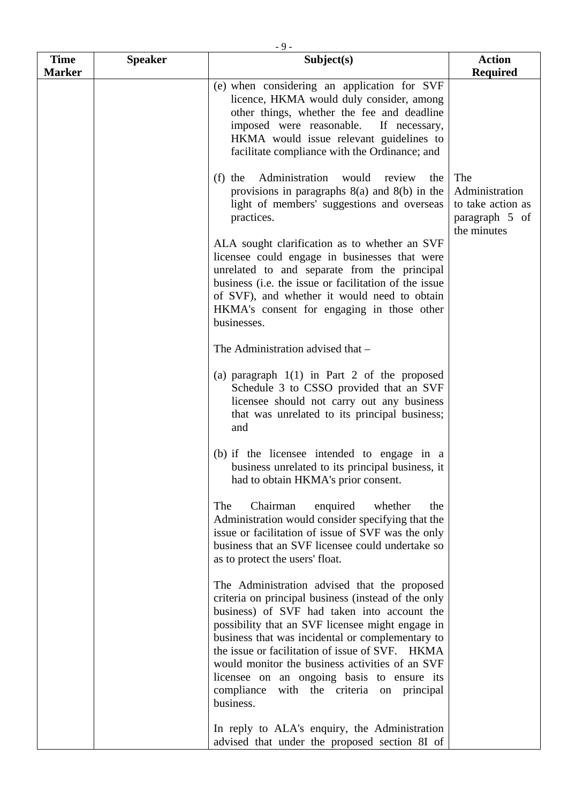| <b>Time</b>   |                | $-9-$<br>Subject(s)                                                                                                                                                                                                                                                                                                                                                                                                                                                         | <b>Action</b>                                                               |
|---------------|----------------|-----------------------------------------------------------------------------------------------------------------------------------------------------------------------------------------------------------------------------------------------------------------------------------------------------------------------------------------------------------------------------------------------------------------------------------------------------------------------------|-----------------------------------------------------------------------------|
| <b>Marker</b> | <b>Speaker</b> |                                                                                                                                                                                                                                                                                                                                                                                                                                                                             | <b>Required</b>                                                             |
|               |                | (e) when considering an application for SVF<br>licence, HKMA would duly consider, among<br>other things, whether the fee and deadline<br>imposed were reasonable.<br>If necessary,<br>HKMA would issue relevant guidelines to<br>facilitate compliance with the Ordinance; and                                                                                                                                                                                              |                                                                             |
|               |                | Administration<br>$(f)$ the<br>would<br>review<br>the<br>provisions in paragraphs $8(a)$ and $8(b)$ in the<br>light of members' suggestions and overseas<br>practices.                                                                                                                                                                                                                                                                                                      | The<br>Administration<br>to take action as<br>paragraph 5 of<br>the minutes |
|               |                | ALA sought clarification as to whether an SVF<br>licensee could engage in businesses that were<br>unrelated to and separate from the principal<br>business (i.e. the issue or facilitation of the issue<br>of SVF), and whether it would need to obtain<br>HKMA's consent for engaging in those other<br>businesses.                                                                                                                                                        |                                                                             |
|               |                | The Administration advised that -                                                                                                                                                                                                                                                                                                                                                                                                                                           |                                                                             |
|               |                | (a) paragraph $1(1)$ in Part 2 of the proposed<br>Schedule 3 to CSSO provided that an SVF<br>licensee should not carry out any business<br>that was unrelated to its principal business;<br>and                                                                                                                                                                                                                                                                             |                                                                             |
|               |                | (b) if the licensee intended to engage in a<br>business unrelated to its principal business, it<br>had to obtain HKMA's prior consent.                                                                                                                                                                                                                                                                                                                                      |                                                                             |
|               |                | Chairman<br>enquired<br>The<br>whether<br>the<br>Administration would consider specifying that the<br>issue or facilitation of issue of SVF was the only<br>business that an SVF licensee could undertake so<br>as to protect the users' float.                                                                                                                                                                                                                             |                                                                             |
|               |                | The Administration advised that the proposed<br>criteria on principal business (instead of the only<br>business) of SVF had taken into account the<br>possibility that an SVF licensee might engage in<br>business that was incidental or complementary to<br>the issue or facilitation of issue of SVF. HKMA<br>would monitor the business activities of an SVF<br>licensee on an ongoing basis to ensure its<br>compliance<br>with the criteria on principal<br>business. |                                                                             |
|               |                | In reply to ALA's enquiry, the Administration<br>advised that under the proposed section 8I of                                                                                                                                                                                                                                                                                                                                                                              |                                                                             |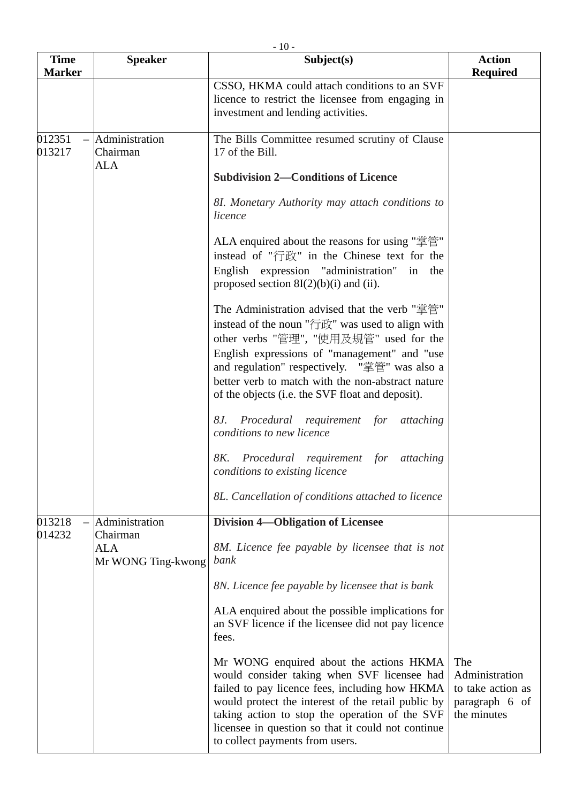| <b>Time</b><br><b>Marker</b> | <b>Speaker</b>                    | Subject(s)                                                                                                                                                                                                                                                                                                                                           | <b>Action</b><br><b>Required</b>                                            |
|------------------------------|-----------------------------------|------------------------------------------------------------------------------------------------------------------------------------------------------------------------------------------------------------------------------------------------------------------------------------------------------------------------------------------------------|-----------------------------------------------------------------------------|
|                              |                                   | CSSO, HKMA could attach conditions to an SVF<br>licence to restrict the licensee from engaging in<br>investment and lending activities.                                                                                                                                                                                                              |                                                                             |
| 012351<br>013217             | Administration<br>Chairman<br>ALA | The Bills Committee resumed scrutiny of Clause<br>17 of the Bill.                                                                                                                                                                                                                                                                                    |                                                                             |
|                              |                                   | <b>Subdivision 2-Conditions of Licence</b>                                                                                                                                                                                                                                                                                                           |                                                                             |
|                              |                                   | 8I. Monetary Authority may attach conditions to<br>licence                                                                                                                                                                                                                                                                                           |                                                                             |
|                              |                                   | ALA enquired about the reasons for using "掌管"<br>instead of "行政" in the Chinese text for the<br>English expression "administration" in the<br>proposed section $8I(2)(b)(i)$ and (ii).                                                                                                                                                               |                                                                             |
|                              |                                   | The Administration advised that the verb "掌管"<br>instead of the noun "行政" was used to align with<br>other verbs "管理", "使用及規管" used for the<br>English expressions of "management" and "use<br>and regulation" respectively. "掌管" was also a<br>better verb to match with the non-abstract nature<br>of the objects (i.e. the SVF float and deposit). |                                                                             |
|                              |                                   | Procedural requirement for<br>8J.<br>attaching<br>conditions to new licence                                                                                                                                                                                                                                                                          |                                                                             |
|                              |                                   | Procedural requirement for<br>8K.<br>attaching<br>conditions to existing licence                                                                                                                                                                                                                                                                     |                                                                             |
|                              |                                   | 8L. Cancellation of conditions attached to licence                                                                                                                                                                                                                                                                                                   |                                                                             |
| 013218                       | Administration                    | <b>Division 4-Obligation of Licensee</b>                                                                                                                                                                                                                                                                                                             |                                                                             |
| 014232<br>Chairman<br>ALA    | Mr WONG Ting-kwong                | 8M. Licence fee payable by licensee that is not<br>bank                                                                                                                                                                                                                                                                                              |                                                                             |
|                              |                                   | 8N. Licence fee payable by licensee that is bank                                                                                                                                                                                                                                                                                                     |                                                                             |
|                              |                                   | ALA enquired about the possible implications for<br>an SVF licence if the licensee did not pay licence<br>fees.                                                                                                                                                                                                                                      |                                                                             |
|                              |                                   | Mr WONG enquired about the actions HKMA<br>would consider taking when SVF licensee had<br>failed to pay licence fees, including how HKMA<br>would protect the interest of the retail public by<br>taking action to stop the operation of the SVF<br>licensee in question so that it could not continue                                               | The<br>Administration<br>to take action as<br>paragraph 6 of<br>the minutes |

to collect payments from users.